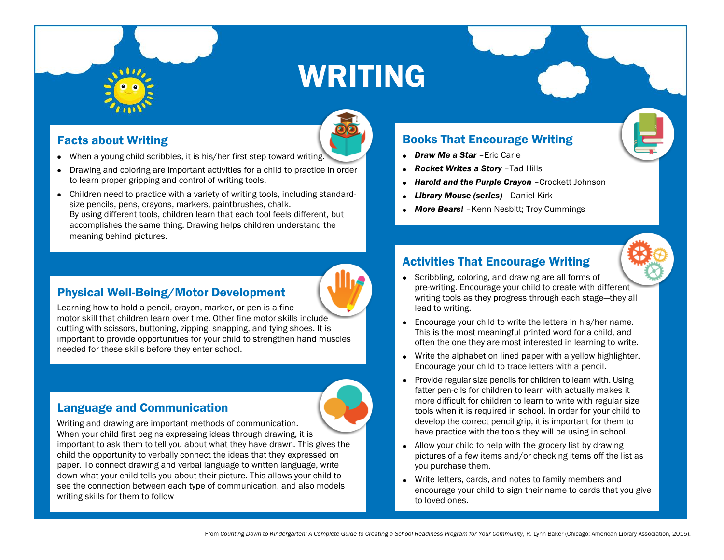# WRITING

# Facts about Writing

- When a young child scribbles, it is his/her first step toward writing.
- Drawing and coloring are important activities for a child to practice in order to learn proper gripping and control of writing tools.
- Children need to practice with a variety of writing tools, including standardsize pencils, pens, crayons, markers, paintbrushes, chalk. By using different tools, children learn that each tool feels different, but accomplishes the same thing. Drawing helps children understand the meaning behind pictures.

#### Physical Well-Being/Motor Development

Learning how to hold a pencil, crayon, marker, or pen is a fine motor skill that children learn over time. Other fine motor skills include cutting with scissors, buttoning, zipping, snapping, and tying shoes. It is important to provide opportunities for your child to strengthen hand muscles needed for these skills before they enter school.

### Language and Communication

Writing and drawing are important methods of communication. When your child first begins expressing ideas through drawing, it is important to ask them to tell you about what they have drawn. This gives the child the opportunity to verbally connect the ideas that they expressed on paper. To connect drawing and verbal language to written language, write down what your child tells you about their picture. This allows your child to see the connection between each type of communication, and also models writing skills for them to follow

#### Books That Encourage Writing

- *Draw Me a Star* –Eric Carle
- *Rocket Writes a Story* –Tad Hills
- *Harold and the Purple Crayon* –Crockett Johnson
- *Library Mouse (series)* –Daniel Kirk
- *More Bears!* –Kenn Nesbitt; Troy Cummings

# Activities That Encourage Writing

- Scribbling, coloring, and drawing are all forms of pre-writing. Encourage your child to create with different writing tools as they progress through each stage—they all lead to writing.
- Encourage your child to write the letters in his/her name. This is the most meaningful printed word for a child, and often the one they are most interested in learning to write.
- Write the alphabet on lined paper with a yellow highlighter. Encourage your child to trace letters with a pencil.
- Provide regular size pencils for children to learn with. Using fatter pen-cils for children to learn with actually makes it more difficult for children to learn to write with regular size tools when it is required in school. In order for your child to develop the correct pencil grip, it is important for them to have practice with the tools they will be using in school.
- Allow your child to help with the grocery list by drawing pictures of a few items and/or checking items off the list as you purchase them.
- Write letters, cards, and notes to family members and encourage your child to sign their name to cards that you give to loved ones.